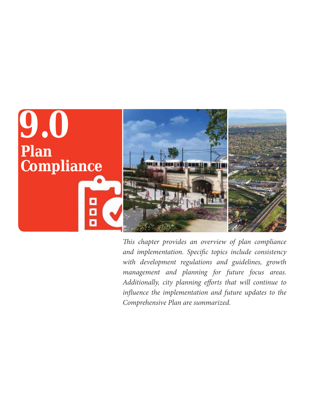

*This chapter provides an overview of plan compliance and implementation. Specific topics include consistency with development regulations and guidelines, growth management and planning for future focus areas. Additionally, city planning efforts that will continue to influence the implementation and future updates to the Comprehensive Plan are summarized.*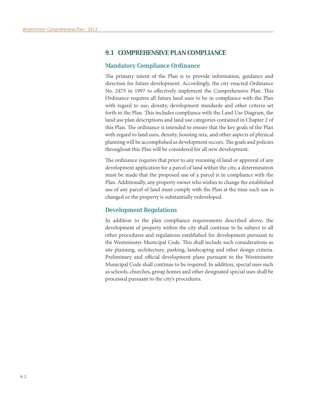## **9.1 COMPREHENSIVE PLAN COMPLIANCE**

#### **Mandatory Compliance Ordinance**

The primary intent of the Plan is to provide information, guidance and direction for future development. Accordingly, the city enacted Ordinance No. 2475 in 1997 to effectively implement the Comprehensive Plan. This Ordinance requires all future land uses to be in compliance with the Plan with regard to use, density, development standards and other criteria set forth in the Plan. This includes compliance with the Land Use Diagram, the land use plan descriptions and land use categories contained in Chapter 2 of this Plan. The ordinance is intended to ensure that the key goals of the Plan with regard to land uses, density, housing mix, and other aspects of physical planning will be accomplished as development occurs. The goals and policies throughout this Plan will be considered for all new development.

The ordinance requires that prior to any rezoning of land or approval of any development application for a parcel of land within the city, a determination must be made that the proposed use of a parcel is in compliance with the Plan. Additionally, any property owner who wishes to change the established use of any parcel of land must comply with the Plan at the time such use is changed or the property is substantially redeveloped.

### **Development Regulations**

In addition to the plan compliance requirements described above, the development of property within the city shall continue to be subject to all other procedures and regulations established for development pursuant to the Westminster Municipal Code. This shall include such considerations as site planning, architecture, parking, landscaping and other design criteria. Preliminary and official development plans pursuant to the Westminster Municipal Code shall continue to be required. In addition, special uses such as schools, churches, group homes and other designated special uses shall be processed pursuant to the city's procedures.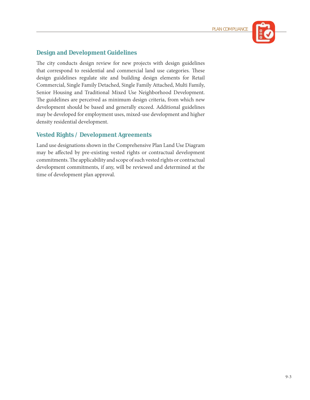![](_page_2_Picture_1.jpeg)

## **Design and Development Guidelines**

The city conducts design review for new projects with design guidelines that correspond to residential and commercial land use categories. These design guidelines regulate site and building design elements for Retail Commercial, Single Family Detached, Single Family Attached, Multi Family, Senior Housing and Traditional Mixed Use Neighborhood Development. The guidelines are perceived as minimum design criteria, from which new development should be based and generally exceed. Additional guidelines may be developed for employment uses, mixed-use development and higher density residential development.

## **Vested Rights / Development Agreements**

Land use designations shown in the Comprehensive Plan Land Use Diagram may be affected by pre-existing vested rights or contractual development commitments. The applicability and scope of such vested rights or contractual development commitments, if any, will be reviewed and determined at the time of development plan approval.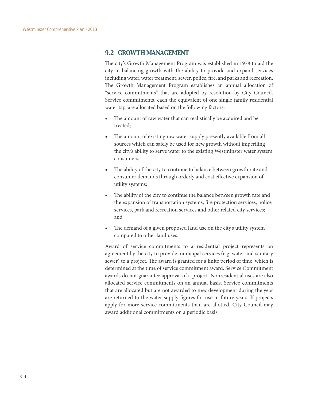## **9.2 GROWTH MANAGEMENT**

The city's Growth Management Program was established in 1978 to aid the city in balancing growth with the ability to provide and expand services including water, water treatment, sewer, police, fire, and parks and recreation. The Growth Management Program establishes an annual allocation of "service commitments" that are adopted by resolution by City Council. Service commitments, each the equivalent of one single family residential water tap, are allocated based on the following factors:

- The amount of raw water that can realistically be acquired and be treated;
- The amount of existing raw water supply presently available from all sources which can safely be used for new growth without imperiling the city's ability to serve water to the existing Westminster water system consumers;
- The ability of the city to continue to balance between growth rate and consumer demands through orderly and cost effective expansion of utility systems;
- The ability of the city to continue the balance between growth rate and the expansion of transportation systems, fire protection services, police services, park and recreation services and other related city services; and
- The demand of a given proposed land use on the city's utility system compared to other land uses.

Award of service commitments to a residential project represents an agreement by the city to provide municipal services (e.g. water and sanitary sewer) to a project. The award is granted for a finite period of time, which is determined at the time of service commitment award. Service Commitment awards do not guarantee approval of a project. Nonresidential uses are also allocated service commitments on an annual basis. Service commitments that are allocated but are not awarded to new development during the year are returned to the water supply figures for use in future years. If projects apply for more service commitments than are allotted, City Council may award additional commitments on a periodic basis.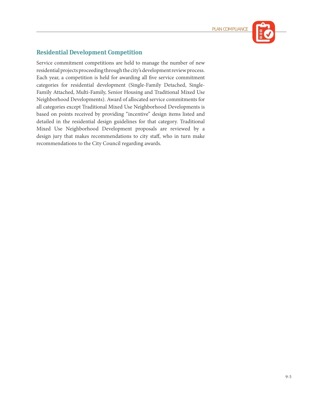![](_page_4_Picture_1.jpeg)

# **Residential Development Competition**

Service commitment competitions are held to manage the number of new residential projects proceeding through the city's development review process. Each year, a competition is held for awarding all five service commitment categories for residential development (Single-Family Detached, Single-Family Attached, Multi-Family, Senior Housing and Traditional Mixed Use Neighborhood Developments). Award of allocated service commitments for all categories except Traditional Mixed Use Neighborhood Developments is based on points received by providing "incentive" design items listed and detailed in the residential design guidelines for that category. Traditional Mixed Use Neighborhood Development proposals are reviewed by a design jury that makes recommendations to city staff, who in turn make recommendations to the City Council regarding awards.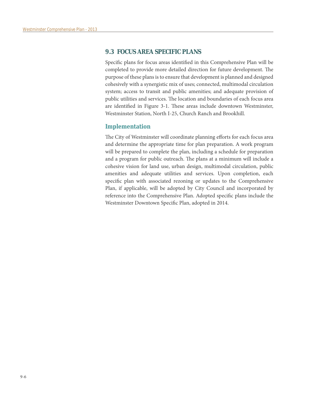## **9.3 FOCUS AREA SPECIFIC PLANS**

Specific plans for focus areas identified in this Comprehensive Plan will be completed to provide more detailed direction for future development. The purpose of these plans is to ensure that development is planned and designed cohesively with a synergistic mix of uses; connected, multimodal circulation system; access to transit and public amenities; and adequate provision of public utilities and services. The location and boundaries of each focus area are identified in Figure 3-1. These areas include downtown Westminster, Westminster Station, North I-25, Church Ranch and Brookhill.

### **Implementation**

The City of Westminster will coordinate planning efforts for each focus area and determine the appropriate time for plan preparation. A work program will be prepared to complete the plan, including a schedule for preparation and a program for public outreach. The plans at a minimum will include a cohesive vision for land use, urban design, multimodal circulation, public amenities and adequate utilities and services. Upon completion, each specific plan with associated rezoning or updates to the Comprehensive Plan, if applicable, will be adopted by City Council and incorporated by reference into the Comprehensive Plan. Adopted specific plans include the Westminster Downtown Specific Plan, adopted in 2014.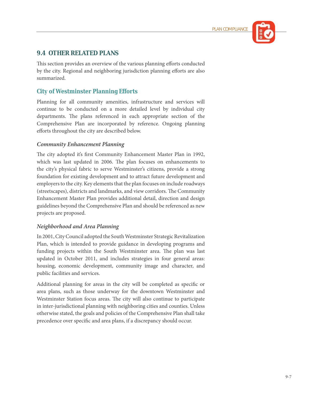![](_page_6_Picture_1.jpeg)

# **9.4 OTHER RELATED PLANS**

This section provides an overview of the various planning efforts conducted by the city. Regional and neighboring jurisdiction planning efforts are also summarized.

# **City of Westminster Planning Efforts**

Planning for all community amenities, infrastructure and services will continue to be conducted on a more detailed level by individual city departments. The plans referenced in each appropriate section of the Comprehensive Plan are incorporated by reference. Ongoing planning efforts throughout the city are described below.

## *Community Enhancement Planning*

The city adopted it's first Community Enhancement Master Plan in 1992, which was last updated in 2006. The plan focuses on enhancements to the city's physical fabric to serve Westminster's citizens, provide a strong foundation for existing development and to attract future development and employers to the city. Key elements that the plan focuses on include roadways (streetscapes), districts and landmarks, and view corridors. The Community Enhancement Master Plan provides additional detail, direction and design guidelines beyond the Comprehensive Plan and should be referenced as new projects are proposed.

## *Neighborhood and Area Planning*

In 2001, City Council adopted the South Westminster Strategic Revitalization Plan, which is intended to provide guidance in developing programs and funding projects within the South Westminster area. The plan was last updated in October 2011, and includes strategies in four general areas: housing, economic development, community image and character, and public facilities and services.

Additional planning for areas in the city will be completed as specific or area plans, such as those underway for the downtown Westminster and Westminster Station focus areas. The city will also continue to participate in inter-jurisdictional planning with neighboring cities and counties. Unless otherwise stated, the goals and policies of the Comprehensive Plan shall take precedence over specific and area plans, if a discrepancy should occur.